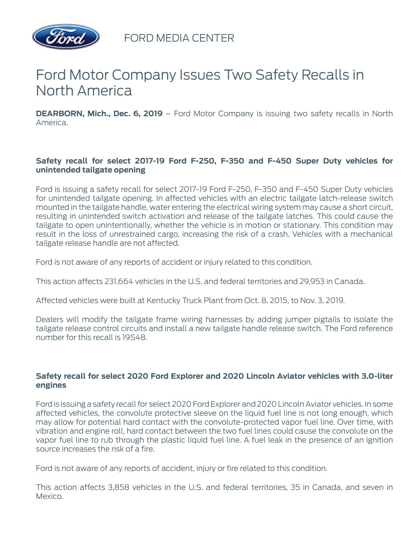

FORD MEDIA CENTER

## Ford Motor Company Issues Two Safety Recalls in North America

**DEARBORN, Mich., Dec. 6, 2019** – Ford Motor Company is issuing two safety recalls in North America.

## **Safety recall for select 2017-19 Ford F-250, F-350 and F-450 Super Duty vehicles for unintended tailgate opening**

Ford is issuing a safety recall for select 2017-19 Ford F-250, F-350 and F-450 Super Duty vehicles for unintended tailgate opening. In affected vehicles with an electric tailgate latch-release switch mounted in the tailgate handle, water entering the electrical wiring system may cause a short circuit, resulting in unintended switch activation and release of the tailgate latches. This could cause the tailgate to open unintentionally, whether the vehicle is in motion or stationary. This condition may result in the loss of unrestrained cargo, increasing the risk of a crash. Vehicles with a mechanical tailgate release handle are not affected.

Ford is not aware of any reports of accident or injury related to this condition.

This action affects 231,664 vehicles in the U.S. and federal territories and 29,953 in Canada.

Affected vehicles were built at Kentucky Truck Plant from Oct. 8, 2015, to Nov. 3, 2019.

Dealers will modify the tailgate frame wiring harnesses by adding jumper pigtails to isolate the tailgate release control circuits and install a new tailgate handle release switch. The Ford reference number for this recall is 19S48.

## **Safety recall for select 2020 Ford Explorer and 2020 Lincoln Aviator vehicles with 3.0-liter engines**

Ford is issuing a safety recall for select 2020 Ford Explorer and 2020 Lincoln Aviator vehicles. In some affected vehicles, the convolute protective sleeve on the liquid fuel line is not long enough, which may allow for potential hard contact with the convolute-protected vapor fuel line. Over time, with vibration and engine roll, hard contact between the two fuel lines could cause the convolute on the vapor fuel line to rub through the plastic liquid fuel line. A fuel leak in the presence of an ignition source increases the risk of a fire.

Ford is not aware of any reports of accident, injury or fire related to this condition.

This action affects 3,858 vehicles in the U.S. and federal territories, 35 in Canada, and seven in Mexico.